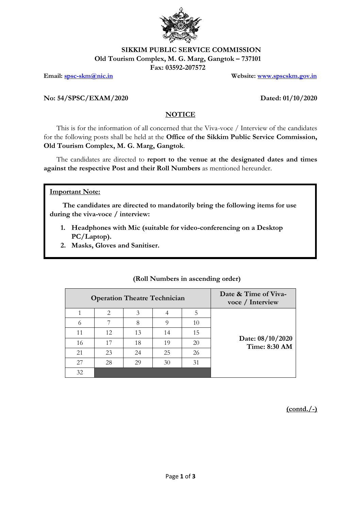

# **SIKKIM PUBLIC SERVICE COMMISSION**

**Old Tourism Complex, M. G. Marg, Gangtok – 737101**

**Fax: 03592-207572**

**Email: [spsc-skm@nic.in](mailto:spsc-skm@nic.in) Website: [www.spscskm.gov.in](http://www.spscskm.gov.in/)**

### **No: 54/SPSC/EXAM/2020 Dated: 01/10/2020**

## **NOTICE**

This is for the information of all concerned that the Viva-voce / Interview of the candidates for the following posts shall be held at the **Office of the Sikkim Public Service Commission, Old Tourism Complex, M. G. Marg, Gangtok**.

The candidates are directed to **report to the venue at the designated dates and times against the respective Post and their Roll Numbers** as mentioned hereunder.

### **Important Note:**

**The candidates are directed to mandatorily bring the following items for use during the viva-voce / interview:**

- **1. Headphones with Mic (suitable for video-conferencing on a Desktop PC/Laptop).**
- **2. Masks, Gloves and Sanitiser.**

| Date & Time of Viva-<br>voce / Interview | <b>Operation Theatre Technician</b> |    |    |    |          |  |  |  |
|------------------------------------------|-------------------------------------|----|----|----|----------|--|--|--|
|                                          | 5                                   |    | 3  | 2  |          |  |  |  |
|                                          | 10                                  | Q  | 8  | 7  | $^{(1)}$ |  |  |  |
|                                          | 15                                  | 14 | 13 | 12 | 11       |  |  |  |
| Date: 08/10/2020<br>Time: 8:30 AM        | 20                                  | 19 | 18 | 17 | 16       |  |  |  |
|                                          | 26                                  | 25 | 24 | 23 | 21       |  |  |  |
|                                          | 31                                  | 30 | 29 | 28 | 27       |  |  |  |
|                                          |                                     |    |    |    | 32       |  |  |  |

## **(Roll Numbers in ascending order)**

**(contd./-)**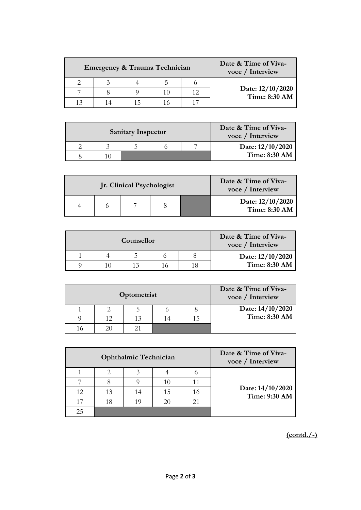| Date & Time of Viva-<br>voce / Interview |  | Emergency & Trauma Technician |  |
|------------------------------------------|--|-------------------------------|--|
|                                          |  |                               |  |
| Date: 12/10/2020<br>Time: 8:30 AM        |  |                               |  |
|                                          |  |                               |  |

| Date & Time of Viva-<br>voce / Interview |  | <b>Sanitary Inspector</b> |  |
|------------------------------------------|--|---------------------------|--|
| Date: 12/10/2020                         |  |                           |  |
| Time: 8:30 AM                            |  |                           |  |

|  | Jr. Clinical Psychologist |  | Date & Time of Viva-<br>voce / Interview |
|--|---------------------------|--|------------------------------------------|
|  |                           |  | Date: 12/10/2020<br><b>Time: 8:30 AM</b> |

| Date & Time of Viva-<br>voce / Interview | Counsellor |  |  |  |  |  |  |  |
|------------------------------------------|------------|--|--|--|--|--|--|--|
| Date: 12/10/2020                         |            |  |  |  |  |  |  |  |
| <b>Time: 8:30 AM</b>                     |            |  |  |  |  |  |  |  |

| Date & Time of Viva-<br>voce / Interview | Optometrist |  |    |    |  |  |  |
|------------------------------------------|-------------|--|----|----|--|--|--|
| Date: 14/10/2020                         |             |  |    |    |  |  |  |
| Time: 8:30 AM                            |             |  | 13 | 12 |  |  |  |
|                                          |             |  |    | 20 |  |  |  |

|    |    | <b>Ophthalmic Technician</b> | Date & Time of Viva-<br>voce / Interview |                                   |
|----|----|------------------------------|------------------------------------------|-----------------------------------|
|    |    |                              |                                          |                                   |
|    |    |                              |                                          |                                   |
| 12 | 13 | 14                           |                                          | Date: 14/10/2020<br>Time: 9:30 AM |
|    | 18 |                              | 21                                       |                                   |
|    |    |                              |                                          |                                   |

**(contd./-)**